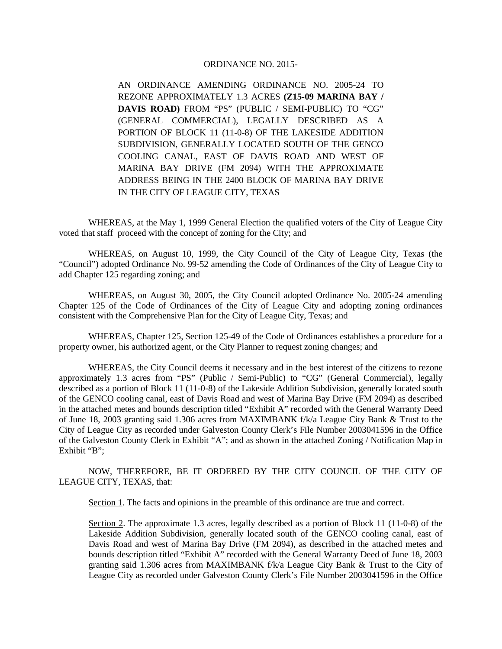## ORDINANCE NO. 2015-

AN ORDINANCE AMENDING ORDINANCE NO. 2005-24 TO REZONE APPROXIMATELY 1.3 ACRES **(Z15-09 MARINA BAY / DAVIS ROAD)** FROM "PS" (PUBLIC / SEMI-PUBLIC) TO "CG" (GENERAL COMMERCIAL), LEGALLY DESCRIBED AS A PORTION OF BLOCK 11 (11-0-8) OF THE LAKESIDE ADDITION SUBDIVISION, GENERALLY LOCATED SOUTH OF THE GENCO COOLING CANAL, EAST OF DAVIS ROAD AND WEST OF MARINA BAY DRIVE (FM 2094) WITH THE APPROXIMATE ADDRESS BEING IN THE 2400 BLOCK OF MARINA BAY DRIVE IN THE CITY OF LEAGUE CITY, TEXAS

WHEREAS, at the May 1, 1999 General Election the qualified voters of the City of League City voted that staff proceed with the concept of zoning for the City; and

WHEREAS, on August 10, 1999, the City Council of the City of League City, Texas (the "Council") adopted Ordinance No. 99-52 amending the Code of Ordinances of the City of League City to add Chapter 125 regarding zoning; and

WHEREAS, on August 30, 2005, the City Council adopted Ordinance No. 2005-24 amending Chapter 125 of the Code of Ordinances of the City of League City and adopting zoning ordinances consistent with the Comprehensive Plan for the City of League City, Texas; and

WHEREAS, Chapter 125, Section 125-49 of the Code of Ordinances establishes a procedure for a property owner, his authorized agent, or the City Planner to request zoning changes; and

WHEREAS, the City Council deems it necessary and in the best interest of the citizens to rezone approximately 1.3 acres from "PS" (Public / Semi-Public) to "CG" (General Commercial), legally described as a portion of Block 11 (11-0-8) of the Lakeside Addition Subdivision, generally located south of the GENCO cooling canal, east of Davis Road and west of Marina Bay Drive (FM 2094) as described in the attached metes and bounds description titled "Exhibit A" recorded with the General Warranty Deed of June 18, 2003 granting said 1.306 acres from MAXIMBANK f/k/a League City Bank & Trust to the City of League City as recorded under Galveston County Clerk's File Number 2003041596 in the Office of the Galveston County Clerk in Exhibit "A"; and as shown in the attached Zoning / Notification Map in Exhibit "B";

NOW, THEREFORE, BE IT ORDERED BY THE CITY COUNCIL OF THE CITY OF LEAGUE CITY, TEXAS, that:

Section 1. The facts and opinions in the preamble of this ordinance are true and correct.

Section 2. The approximate 1.3 acres, legally described as a portion of Block 11 (11-0-8) of the Lakeside Addition Subdivision, generally located south of the GENCO cooling canal, east of Davis Road and west of Marina Bay Drive (FM 2094), as described in the attached metes and bounds description titled "Exhibit A" recorded with the General Warranty Deed of June 18, 2003 granting said 1.306 acres from MAXIMBANK f/k/a League City Bank & Trust to the City of League City as recorded under Galveston County Clerk's File Number 2003041596 in the Office